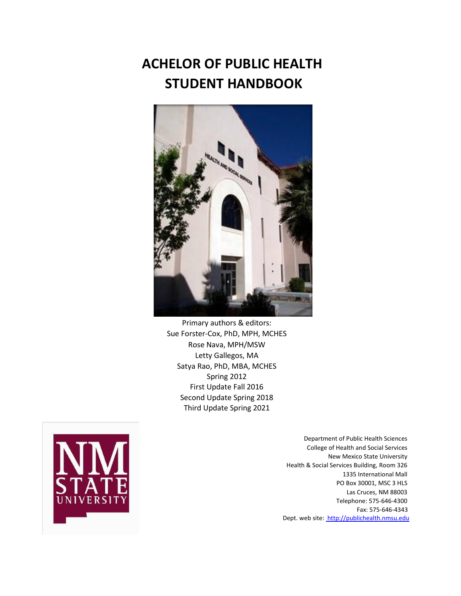# **ACHELOR OF PUBLIC HEALTH STUDENT HANDBOOK**



Primary authors & editors: Sue Forster-Cox, PhD, MPH, MCHES Rose Nava, MPH/MSW Letty Gallegos, MA Satya Rao, PhD, MBA, MCHES Spring 2012 First Update Fall 2016 Second Update Spring 2018 Third Update Spring 2021



Department of Public Health Sciences College of Health and Social Services New Mexico State University Health & Social Services Building, Room 326 1335 International Mall PO Box 30001, MSC 3 HLS Las Cruces, NM 88003 Telephone: 575-646-4300 Fax: 575-646-4343 Dept. web sit[e:](http://publichealth.nmsu.edu/) [http://publichealth.nmsu.edu](http://publichealth.nmsu.edu/)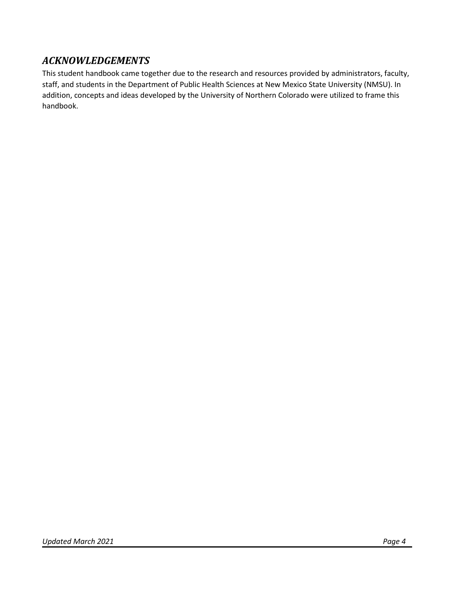### *ACKNOWLEDGEMENTS*

This student handbook came together due to the research and resources provided by administrators, faculty, staff, and students in the Department of Public Health Sciences at New Mexico State University (NMSU). In addition, concepts and ideas developed by the University of Northern Colorado were utilized to frame this handbook.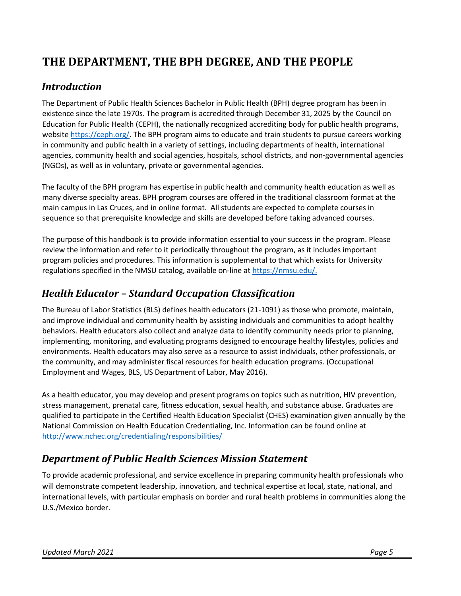## **THE DEPARTMENT, THE BPH DEGREE, AND THE PEOPLE**

#### *Introduction*

The Department of Public Health Sciences Bachelor in Public Health (BPH) degree program has been in existence since the late 1970s. The program is accredited through December 31, 2025 by the [Council on](https://ceph.org/)  [Education for Public Health](https://ceph.org/) (CEPH), the nationally recognized accrediting body for public health programs, websit[e https://ceph.org/.](https://ceph.org/) The BPH program aims to educate and train students to pursue careers working in community and public health in a variety of settings, including departments of health, international agencies, community health and social agencies, hospitals, school districts, and non-governmental agencies (NGOs), as well as in voluntary, private or governmental agencies.

The faculty of the BPH program has expertise in public health and community health education as well as many diverse specialty areas. BPH program courses are offered in the traditional classroom format at the main campus in Las Cruces, and in online format. All students are expected to complete courses in sequence so that prerequisite knowledge and skills are developed before taking advanced courses.

The purpose of this handbook is to provide information essential to your success in the program. Please review the information and refer to it periodically throughout the program, as it includes important program policies and procedures. This information is supplemental to that which exists for University regulations specified in the NMSU catalog, available on-line at [https://nmsu.edu/.](https://nmsu.edu/)

### *Health Educator – Standard Occupation Classification*

The Bureau of Labor Statistics (BLS) defines health educators (21-1091) as those who promote, maintain, and improve individual and community health by assisting individuals and communities to adopt healthy behaviors. Health educators also collect and analyze data to identify community needs prior to planning, implementing, monitoring, and evaluating programs designed to encourage healthy lifestyles, policies and environments. Health educators may also serve as a resource to assist individuals, other professionals, or the community, and may administer fiscal resources for health education programs. (Occupational Employment and Wages, BLS, US Department of Labor, May 2016).

As a health educator, you may develop and present programs on topics such as nutrition, HIV prevention, stress management, prenatal care, fitness education, sexual health, and substance abuse. Graduates are qualified to participate in the Certified Health Education Specialist (CHES) examination given annually by the National Commission on Health Education Credentialing, Inc. Information can be found online at http://[www.nchec.org/credentialing/responsibilities/](http://www.nchec.org/credentialing/responsibilities/)

## *Department of Public Health Sciences Mission Statement*

To provide academic professional, and service excellence in preparing community health professionals who will demonstrate competent leadership, innovation, and technical expertise at local, state, national, and international levels, with particular emphasis on border and rural health problems in communities along the U.S./Mexico border.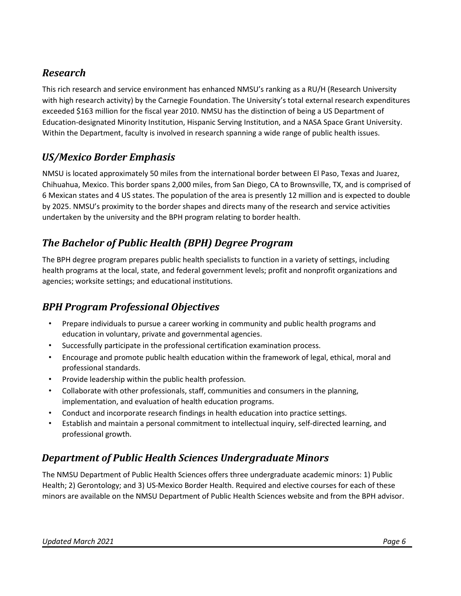### *Research*

This rich research and service environment has enhanced NMSU's ranking as a RU/H (Research University with high research activity) by the Carnegie Foundation. The University's total external research expenditures exceeded \$163 million for the fiscal year 2010. NMSU has the distinction of being a US Department of Education-designated Minority Institution, Hispanic Serving Institution, and a NASA Space Grant University. Within the Department, faculty is involved in research spanning a wide range of public health issues.

#### *US/Mexico Border Emphasis*

NMSU is located approximately 50 miles from the international border between El Paso, Texas and Juarez, Chihuahua, Mexico. This border spans 2,000 miles, from San Diego, CA to Brownsville, TX, and is comprised of 6 Mexican states and 4 US states. The population of the area is presently 12 million and is expected to double by 2025. NMSU's proximity to the border shapes and directs many of the research and service activities undertaken by the university and the BPH program relating to border health.

## *The Bachelor of Public Health (BPH) Degree Program*

The BPH degree program prepares public health specialists to function in a variety of settings, including health programs at the local, state, and federal government levels; profit and nonprofit organizations and agencies; worksite settings; and educational institutions.

### *BPH Program Professional Objectives*

- Prepare individuals to pursue a career working in community and public health programs and education in voluntary, private and governmental agencies.
- Successfully participate in the professional certification examination process.
- Encourage and promote public health education within the framework of legal, ethical, moral and professional standards.
- Provide leadership within the public health profession.
- Collaborate with other professionals, staff, communities and consumers in the planning, implementation, and evaluation of health education programs.
- Conduct and incorporate research findings in health education into practice settings.
- Establish and maintain a personal commitment to intellectual inquiry, self-directed learning, and professional growth.

### *Department of Public Health Sciences Undergraduate Minors*

The NMSU Department of Public Health Sciences offers three undergraduate academic minors: 1) Public Health; 2) Gerontology; and 3) US-Mexico Border Health. Required and elective courses for each of these minors are available on the NMSU Department of Public Health Sciences website and from the BPH advisor.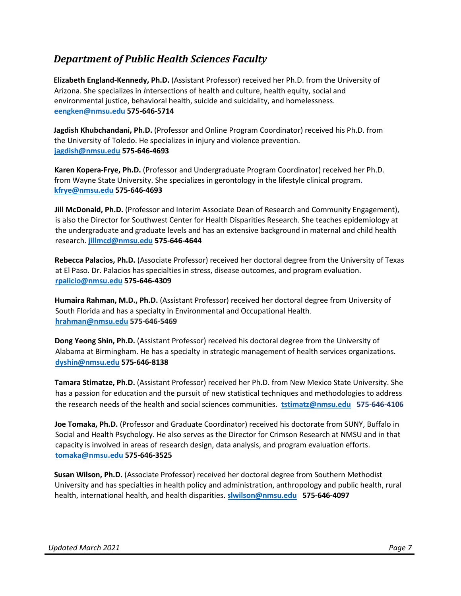#### *Department of Public Health Sciences Faculty*

**Elizabeth England-Kennedy, Ph.D.** (Assistant Professor) received her Ph.D. from the University of Arizona. She specializes in *i*ntersections of health and culture, health equity, social and environmental justice, behavioral health, suicide and suicidality, and homelessness. **[eengken@nmsu.edu](mailto:eengken@nmsu.edu) 575-646-5714**

**Jagdish Khubchandani, Ph.D.** (Professor and Online Program Coordinator) received his Ph.D. from the University of Toledo. He specializes in injury and violence prevention. **[jagdish@nmsu.edu](mailto:jagdish@nmsu.edu) 575-646-4693**

**Karen Kopera-Frye, Ph.D.** (Professor and Undergraduate Program Coordinator) received her Ph.D. from Wayne State University. She specializes in gerontology in the lifestyle clinical program. **[kfrye@nmsu.edu](mailto:kfrye@nmsu.edu) 575-646-4693**

**Jill McDonald, Ph.D.** (Professor and Interim Associate Dean of Research and Community Engagement), is also the Director for Southwest Center for Health Disparities Research. She teaches epidemiology at the undergraduate and graduate levels and has an extensive background in maternal and child health research. **[jillmcd@nmsu.edu](mailto:jillmcd@nmsu.edu) 575-646-4644** 

**Rebecca Palacios, Ph.D.** (Associate Professor) received her doctoral degree from the University of Texas at El Paso. Dr. Palacios has specialties in stress, disease outcomes, and program evaluation. **[rpalicio@nmsu.edu](mailto:rpalicio@nmsu.edu) 575-646-4309**

**Humaira Rahman, M.D., Ph.D.** (Assistant Professor) received her doctoral degree from University of South Florida and has a specialty in Environmental and Occupational Health. **[hrahman@nmsu.edu](mailto:hrahman@nmsu.edu) 575-646-5469**

**Dong Yeong Shin, Ph.D.** (Assistant Professor) received his doctoral degree from the University of Alabama at Birmingham. He has a specialty in strategic management of health services organizations. **[dyshin@nmsu.edu](mailto:dyshin@nmsu.edu) 575-646-8138**

**Tamara Stimatze, Ph.D.** (Assistant Professor) received her Ph.D. from New Mexico State University. She has a passion for education and the pursuit of new statistical techniques and methodologies to address the research needs of the health and social sciences communities. **[tstimatz@nmsu.edu](mailto:tstimatz@nmsu.edu) 575-646-4106**

**Joe Tomaka, Ph.D.** (Professor and Graduate Coordinator) received his doctorate from SUNY, Buffalo in Social and Health Psychology. He also serves as the Director for Crimson Research at NMSU and in that capacity is involved in areas of research design, data analysis, and program evaluation efforts. **[tomaka@nmsu.edu](mailto:tomaka@nmsu.edu) 575-646-3525** 

**Susan Wilson, Ph.D.** (Associate Professor) received her doctoral degree from Southern Methodist University and has specialties in health policy and administration, anthropology and public health, rural health, international health, and health disparities. **[slwilson@nmsu.edu](mailto:slwilson@nmsu.edu) 575-646-4097**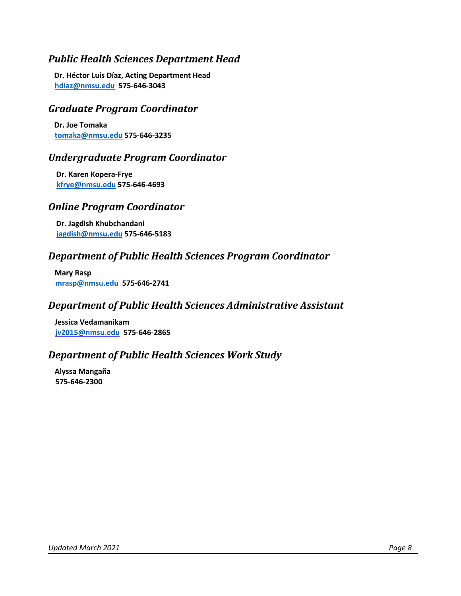#### *Public Health Sciences Department Head*

**Dr. Héctor Luis Díaz, Acting Department Head [hdiaz@nmsu.edu](mailto:hdiaz@nmsu.edu) 575-646-3043**

#### *Graduate Program Coordinator*

**Dr. Joe Tomaka [tomaka@nmsu.edu](mailto:tomaka@nmsu.edu) 575-646-3235**

#### *Undergraduate Program Coordinator*

**Dr. Karen Kopera-Frye [kfrye@nmsu.edu](mailto:kfrye@nmsu.edu) 575-646-4693**

#### *Online Program Coordinator*

**Dr. Jagdish Khubchandani [jagdish@nmsu.edu](mailto:jagdish@nmsu.edu) 575-646-5183**

#### *Department of Public Health Sciences Program Coordinator*

**Mary Rasp [mrasp@nmsu.edu](mailto:mrasp@nmsu.edu) 575-646-2741**

#### *Department of Public Health Sciences Administrative Assistant*

**Jessica Vedamanikam [jv2015@nmsu.edu](mailto:jv2015@nmsu.edu) 575-646-2865**

#### *Department of Public Health Sciences Work Study*

**Alyssa Mangaña 575-646-2300**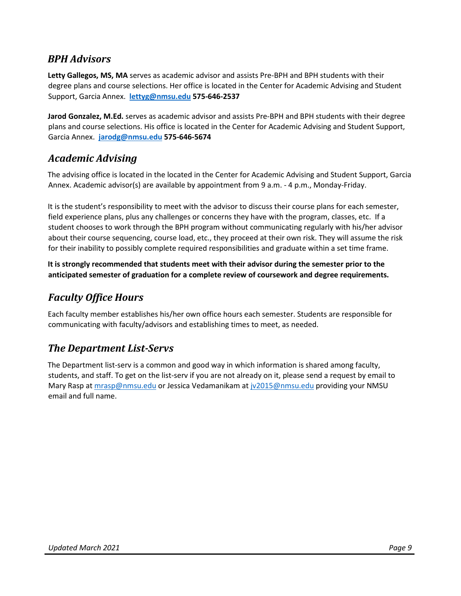#### *BPH Advisors*

**Letty Gallegos, MS, MA** serves as academic advisor and assists Pre-BPH and BPH students with their degree plans and course selections. Her office is located in the Center for Academic Advising and Student Support, Garcia Annex. **[lettyg@nmsu.edu](mailto:lettyg@nmsu.edu) 575-646-2537** 

**Jarod Gonzalez, M.Ed.** serves as academic advisor and assists Pre-BPH and BPH students with their degree plans and course selections. His office is located in the Center for Academic Advising and Student Support, Garcia Annex. **[jarodg@nmsu.edu](mailto:jarodg@nmsu.edu) 575-646-5674**

#### *Academic Advising*

The advising office is located in the located in the Center for Academic Advising and Student Support, Garcia Annex. Academic advisor(s) are available by appointment from 9 a.m. - 4 p.m., Monday-Friday.

It is the student's responsibility to meet with the advisor to discuss their course plans for each semester, field experience plans, plus any challenges or concerns they have with the program, classes, etc. If a student chooses to work through the BPH program without communicating regularly with his/her advisor about their course sequencing, course load, etc., they proceed at their own risk. They will assume the risk for their inability to possibly complete required responsibilities and graduate within a set time frame.

**It is strongly recommended that students meet with their advisor during the semester prior to the anticipated semester of graduation for a complete review of coursework and degree requirements.**

#### *Faculty Office Hours*

Each faculty member establishes his/her own office hours each semester. Students are responsible for communicating with faculty/advisors and establishing times to meet, as needed.

#### *The Department List-Servs*

<span id="page-8-0"></span>The Department list-serv is a common and good way in which information is shared among faculty, students, and staff. To get on the list-serv if you are not already on it, please send a request by email to Mary Rasp at [mrasp@nmsu.edu](mailto:mrasp@nmsu.edu) or Jessica Vedamanikam at [jv2015@nmsu.edu](mailto:jv2015@nmsu.edu) providing your NMSU email and full name.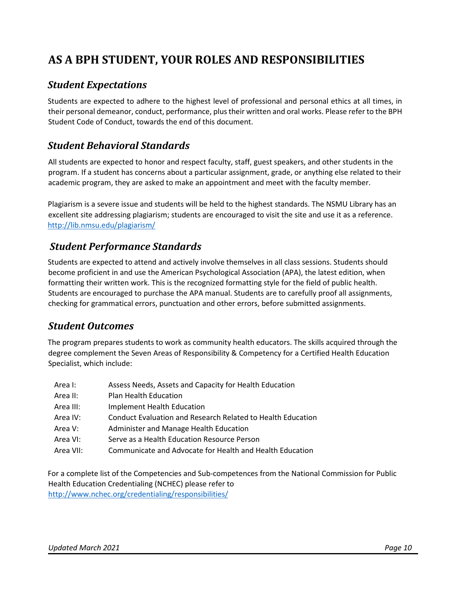## **AS A BPH STUDENT, YOUR ROLES AND RESPONSIBILITIES**

#### *Student Expectations*

Students are expected to adhere to the highest level of professional and personal ethics at all times, in their personal demeanor, conduct, performance, plus their written and oral works. Please refer to the BPH Student Code of Conduct, towards the end of this document.

#### *Student Behavioral Standards*

All students are expected to honor and respect faculty, staff, guest speakers, and other students in the program. If a student has concerns about a particular assignment, grade, or anything else related to their academic program, they are asked to make an appointment and meet with the faculty member.

Plagiarism is a severe issue and students will be held to the highest standards. The NSMU Library has an excellent site addressing plagiarism; students are encouraged to visit the site and use it as a reference. <http://lib.nmsu.edu/plagiarism/>

#### *Student Performance Standards*

Students are expected to attend and actively involve themselves in all class sessions. Students should become proficient in and use the American Psychological Association (APA), the latest edition, when formatting their written work. This is the recognized formatting style for the field of public health. Students are encouraged to purchase the APA manual. Students are to carefully proof all assignments, checking for grammatical errors, punctuation and other errors, before submitted assignments.

#### *Student Outcomes*

The program prepares students to work as community health educators. The skills acquired through the degree complement the Seven Areas of Responsibility & Competency for a Certified Health Education Specialist, which include:

| Area I:   | Assess Needs, Assets and Capacity for Health Education      |
|-----------|-------------------------------------------------------------|
| Area II:  | Plan Health Education                                       |
| Area III: | Implement Health Education                                  |
| Area IV:  | Conduct Evaluation and Research Related to Health Education |
| Area V:   | Administer and Manage Health Education                      |
| Area VI:  | Serve as a Health Education Resource Person                 |
| Area VII: | Communicate and Advocate for Health and Health Education    |

For a complete list of the Competencies and Sub-competences from the National Commission for Public Health Education Credentialing (NCHEC) please refer to http://[www.nchec.org/credentialing/responsibilities/](http://www.nchec.org/credentialing/responsibilities/)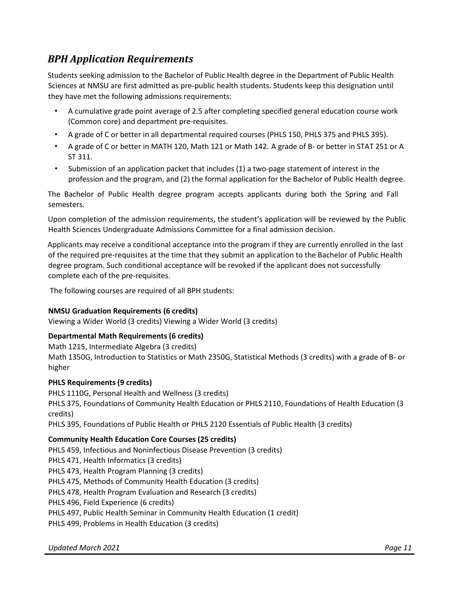### *BPH Application Requirements*

Students seeking admission to the Bachelor of Public Health degree in the Department of Public Health Sciences at NMSU are first admitted as pre-public health students. Students keep this designation until they have met the following admissions requirements:

- A cumulative grade point average of 2.5 after completing specified general education course work (Common core) and department pre-requisites.
- A grade of C or better in all departmental required courses (PHLS 150, PHLS 375 and PHLS 395).
- A grade of C or better in MATH 120, Math 121 or Math 142. A grade of B- or better in STAT 251 or A ST 311.
- Submission of an application packet that includes (1) a two-page statement of interest in the profession and the program, and (2) the formal application for the Bachelor of Public Health degree.

The Bachelor of Public Health degree program accepts applicants during both the Spring and Fall semesters.

Upon completion of the admission requirements, the student's application will be reviewed by the Public Health Sciences Undergraduate Admissions Committee for a final admission decision.

Applicants may receive a conditional acceptance into the program if they are currently enrolled in the last of the required pre-requisites at the time that they submit an application to the Bachelor of Public Health degree program. Such conditional acceptance will be revoked if the applicant does not successfully complete each of the pre-requisites.

The following courses are required of all BPH students:

#### **NMSU Graduation Requirements (6 credits)**

Viewing a Wider World (3 credits) Viewing a Wider World (3 credits)

#### **Departmental Math Requirements (6 credits)**

Math 1215, Intermediate Algebra (3 credits)

Math 1350G, Introduction to Statistics or Math 2350G, Statistical Methods (3 credits) with a grade of B- or higher

#### **PHLS Requirements (9 credits)**

PHLS 1110G, Personal Health and Wellness (3 credits) PHLS 375, Foundations of Community Health Education or PHLS 2110, Foundations of Health Education (3 credits)

PHLS 395, Foundations of Public Health or PHLS 2120 Essentials of Public Health (3 credits)

#### **Community Health Education Core Courses (25 credits)**

PHLS 459, Infectious and Noninfectious Disease Prevention (3 credits) PHLS 471, Health Informatics (3 credits) PHLS 473, Health Program Planning (3 credits) PHLS 475, Methods of Community Health Education (3 credits) PHLS 478, Health Program Evaluation and Research (3 credits) PHLS 496, Field Experience (6 credits) PHLS 497, Public Health Seminar in Community Health Education (1 credit) PHLS 499, Problems in Health Education (3 credits)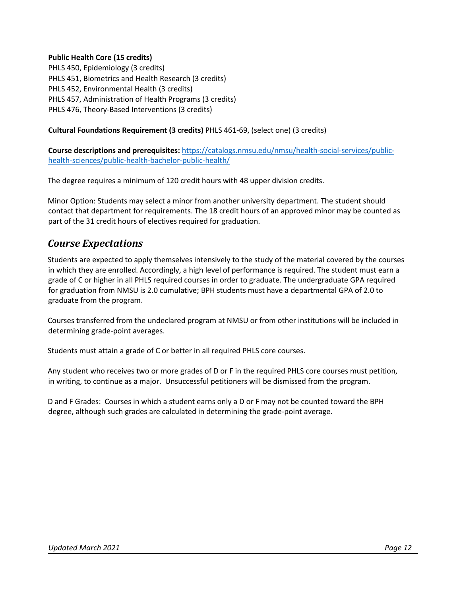#### **Public Health Core (15 credits)**

PHLS 450, Epidemiology (3 credits) PHLS 451, Biometrics and Health Research (3 credits) PHLS 452, Environmental Health (3 credits) PHLS 457, Administration of Health Programs (3 credits) PHLS 476, Theory-Based Interventions (3 credits)

#### **Cultural Foundations Requirement (3 credits)** PHLS 461-69, (select one) (3 credits)

**Course descriptions and prerequisites:** [https://catalogs.nmsu.edu/nmsu/health-social-services/public](https://catalogs.nmsu.edu/nmsu/health-social-services/public-health-sciences/public-health-bachelor-public-health/)[health-sciences/public-health-bachelor-public-health/](https://catalogs.nmsu.edu/nmsu/health-social-services/public-health-sciences/public-health-bachelor-public-health/)

The degree requires a minimum of 120 credit hours with 48 upper division credits.

Minor Option: Students may select a minor from another university department. The student should contact that department for requirements. The 18 credit hours of an approved minor may be counted as part of the 31 credit hours of electives required for graduation.

#### *Course Expectations*

Students are expected to apply themselves intensively to the study of the material covered by the courses in which they are enrolled. Accordingly, a high level of performance is required. The student must earn a grade of C or higher in all PHLS required courses in order to graduate. The undergraduate GPA required for graduation from NMSU is 2.0 cumulative; BPH students must have a departmental GPA of 2.0 to graduate from the program.

Courses transferred from the undeclared program at NMSU or from other institutions will be included in determining grade-point averages.

Students must attain a grade of C or better in all required PHLS core courses.

Any student who receives two or more grades of D or F in the required PHLS core courses must petition, in writing, to continue as a major. Unsuccessful petitioners will be dismissed from the program.

D and F Grades: Courses in which a student earns only a D or F may not be counted toward the BPH degree, although such grades are calculated in determining the grade-point average.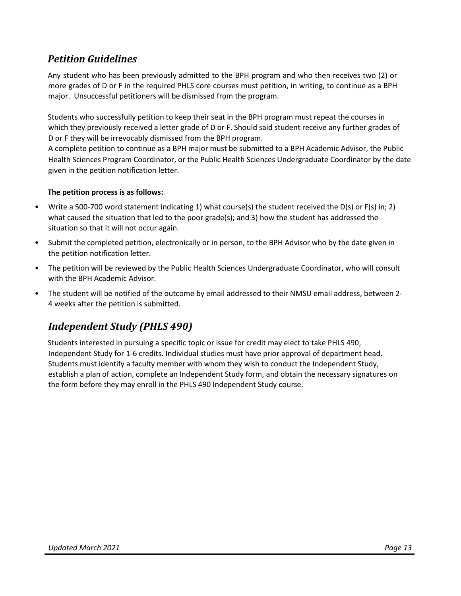### *Petition Guidelines*

Any student who has been previously admitted to the BPH program and who then receives two (2) or more grades of D or F in the required PHLS core courses must petition, in writing, to continue as a BPH major. Unsuccessful petitioners will be dismissed from the program.

Students who successfully petition to keep their seat in the BPH program must repeat the courses in which they previously received a letter grade of D or F. Should said student receive any further grades of D or F they will be irrevocably dismissed from the BPH program.

A complete petition to continue as a BPH major must be submitted to a BPH Academic Advisor, the Public Health Sciences Program Coordinator, or the Public Health Sciences Undergraduate Coordinator by the date given in the petition notification letter.

#### **The petition process is as follows:**

- Write a 500-700 word statement indicating 1) what course(s) the student received the D(s) or F(s) in; 2) what caused the situation that led to the poor grade(s); and 3) how the student has addressed the situation so that it will not occur again.
- Submit the completed petition, electronically or in person, to the BPH Advisor who by the date given in the petition notification letter.
- The petition will be reviewed by the Public Health Sciences Undergraduate Coordinator, who will consult with the BPH Academic Advisor.
- The student will be notified of the outcome by email addressed to their NMSU email address, between 2- 4 weeks after the petition is submitted.

### *Independent Study (PHLS 490)*

Students interested in pursuing a specific topic or issue for credit may elect to take PHLS 490, Independent Study for 1-6 credits. Individual studies must have prior approval of department head. Students must identify a faculty member with whom they wish to conduct the Independent Study, establish a plan of action, complete an Independent Study form, and obtain the necessary signatures on the form before they may enroll in the PHLS 490 Independent Study course.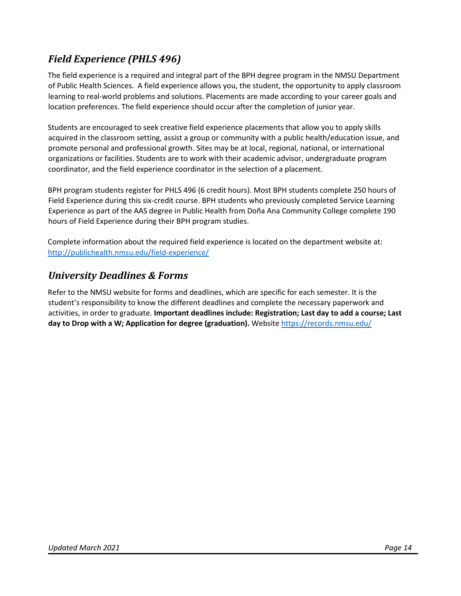## *Field Experience (PHLS 496)*

The field experience is a required and integral part of the BPH degree program in the NMSU Department of Public Health Sciences. A field experience allows you, the student, the opportunity to apply classroom learning to real-world problems and solutions. Placements are made according to your career goals and location preferences. The field experience should occur after the completion of junior year.

Students are encouraged to seek creative field experience placements that allow you to apply skills acquired in the classroom setting, assist a group or community with a public health/education issue, and promote personal and professional growth. Sites may be at local, regional, national, or international organizations or facilities. Students are to work with their academic advisor, undergraduate program coordinator, and the field experience coordinator in the selection of a placement.

BPH program students register for PHLS 496 (6 credit hours). Most BPH students complete 250 hours of Field Experience during this six-credit course. BPH students who previously completed Service Learning Experience as part of the AAS degree in Public Health from Doña Ana Community College complete 190 hours of Field Experience during their BPH program studies.

Complete information about the required field experience is located on the department website at: <http://publichealth.nmsu.edu/field-experience/>

#### *University Deadlines & Forms*

Refer to the NMSU website for forms and deadlines, which are specific for each semester. It is the student's responsibility to know the different deadlines and complete the necessary paperwork and activities, in order to graduate. **Important deadlines include: Registration; Last day to add a course; Last day to Drop with a W; Application for degree (graduation)[.](http://registration.nmsu.edu/)** Website <https://records.nmsu.edu/>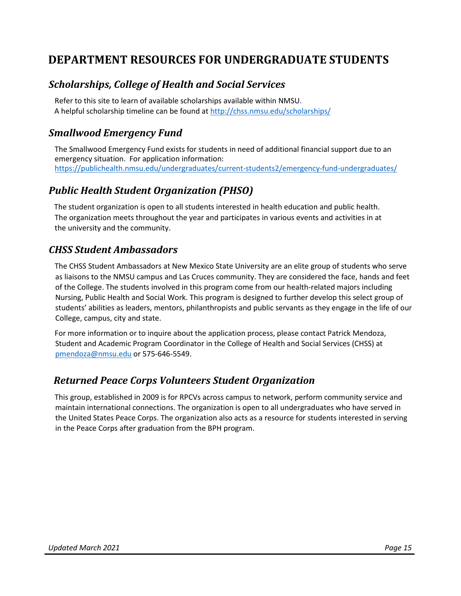## <span id="page-14-0"></span>**DEPARTMENT RESOURCES FOR UNDERGRADUATE STUDENTS**

#### *Scholarships, College of Health and Social Services*

Refer to this site to learn of available scholarships available within NMSU. A helpful scholarship timeline can be found at <http://chss.nmsu.edu/scholarships/>

#### *Smallwood Emergency Fund*

The Smallwood Emergency Fund exists for students in need of additional financial support due to an emergency situation. For application information: [https://publichealth.nmsu.edu/undergraduates/current-students2/emergency-fund-undergraduates/](https://publichealth.nmsu.edu/undergraduates/current-students-2/emergency-fund-undergraduates/)

#### *Public Health Student Organization (PHSO)*

The student organization is open to all students interested in health education and public health. The organization meets throughout the year and participates in various events and activities in at the university and the community.

#### *CHSS Student Ambassadors*

The CHSS Student Ambassadors at New Mexico State University are an elite group of students who serve as liaisons to the NMSU campus and Las Cruces community. They are considered the face, hands and feet of the College. The students involved in this program come from our health-related majors including Nursing, Public Health and Social Work. This program is designed to further develop this select group of students' abilities as leaders, mentors, philanthropists and public servants as they engage in the life of our College, campus, city and state.

For more information or to inquire about the application process, please contact Patrick Mendoza, Student and Academic Program Coordinator in the College of Health and Social Services (CHSS) at pmendoza@nmsu.edu or 575-646-5549.

#### *Returned Peace Corps Volunteers Student Organization*

This group, established in 2009 is for RPCVs across campus to network, perform community service and maintain international connections. The organization is open to all undergraduates who have served in the United States Peace Corps. The organization also acts as a resource for students interested in serving in the Peace Corps after graduation from the BPH program.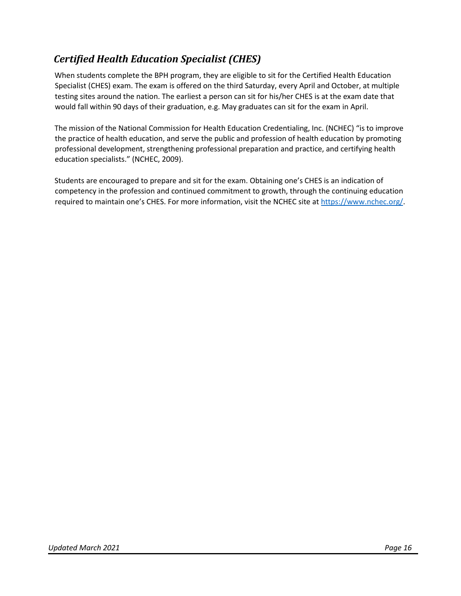## *Certified Health Education Specialist (CHES)*

When students complete the BPH program, they are eligible to sit for the Certified Health Education Specialist (CHES) exam. The exam is offered on the third Saturday, every April and October, at multiple testing sites around the nation. The earliest a person can sit for his/her CHES is at the exam date that would fall within 90 days of their graduation, e.g. May graduates can sit for the exam in April.

The mission of the National Commission for Health Education Credentialing, Inc. (NCHEC) "is to improve the practice of health education, and serve the public and profession of health education by promoting professional development, strengthening professional preparation and practice, and certifying health education specialists." (NCHEC, 2009).

<span id="page-15-0"></span>Students are encouraged to prepare and sit for the exam. Obtaining one's CHES is an indication of competency in the profession and continued commitment to growth, through the continuing education required to maintain one's CHES. For more information, visit the NCHEC site at [https://www.nchec.org/.](https://www.nchec.org/)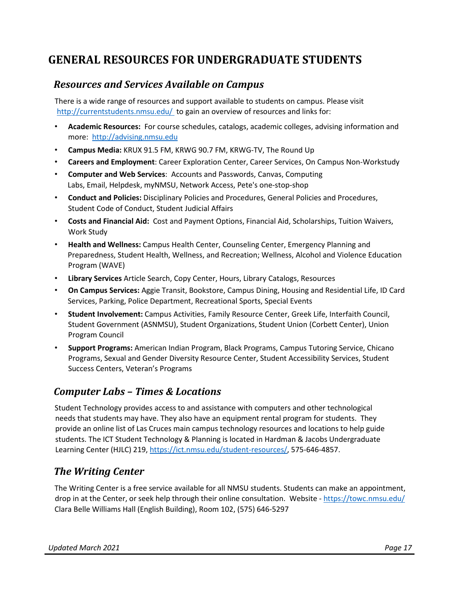## **GENERAL RESOURCES FOR UNDERGRADUATE STUDENTS**

#### *Resources and Services Available on Campus*

There is a wide range of resources and support available to students on campus. Please visit <http://currentstudents.nmsu.edu/> to gain an overview of resources and links for:

- **Academic Resources:** For course schedules, catalogs, academic colleges, advising information and more: [http://advising.nmsu.edu](http://advising.nmsu.edu/)
- **Campus Media:** KRUX 91.5 FM, KRWG 90.7 FM, KRWG-TV, The Round Up
- **Careers and Employment**: Career Exploration Center, Career Services, On Campus Non-Workstudy
- **Computer and Web Services**: Accounts and Passwords, Canvas, Computing Labs, Email, Helpdesk, myNMSU, Network Access, Pete's one-stop-shop
- **Conduct and Policies:** Disciplinary Policies and Procedures, General Policies and Procedures, Student Code of Conduct, Student Judicial Affairs
- **Costs and Financial Aid:** Cost and Payment Options, Financial Aid, Scholarships, Tuition Waivers, Work Study
- **Health and Wellness:** Campus Health Center, Counseling Center, Emergency Planning and Preparedness, Student Health, Wellness, and Recreation; Wellness, Alcohol and Violence Education Program (WAVE)
- **Library Services** Article Search, Copy Center, Hours, Library Catalogs, Resources
- **On Campus Services:** Aggie Transit, Bookstore, Campus Dining, Housing and Residential Life, ID Card Services, Parking, Police Department, Recreational Sports, Special Events
- **Student Involvement:** Campus Activities, Family Resource Center, Greek Life, Interfaith Council, Student Government (ASNMSU), Student Organizations, Student Union (Corbett Center), Union Program Council
- **Support Programs:** American Indian Program, Black Programs, Campus Tutoring Service, Chicano Programs, Sexual and Gender Diversity Resource Center, Student Accessibility Services, Student Success Centers, Veteran's Programs

#### *Computer Labs – Times & Locations*

Student Technology provides access to and assistance with computers and other technological needs that students may have. They also have an equipment rental program for students. They provide an online list of Las Cruces main campus technology resources and locations to help guide students. The ICT Student Technology & Planning is located in Hardman & Jacobs Undergraduate Learning Center (HJLC) 219, [https://ict.nmsu.edu/student-resources/,](https://ict.nmsu.edu/student-resources/) 575-646-4857.

#### *The Writing Center*

The Writing Center is a free service available for all NMSU students. Students can make an appointment, drop in at the Center, or seek help through their online consultation. Website - <https://towc.nmsu.edu/> Clara Belle Williams Hall (English Building), Room 102, (575) 646-5297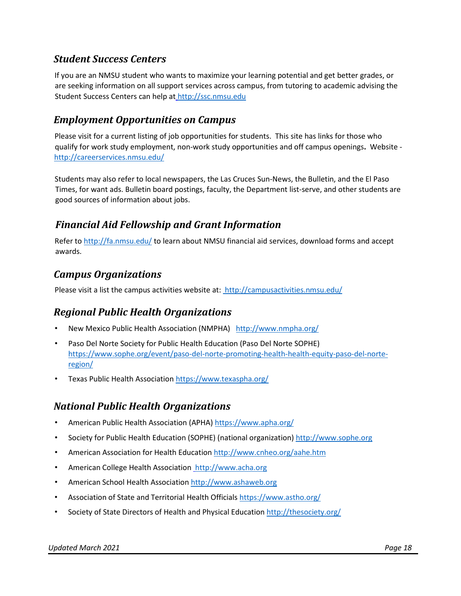#### *Student Success Centers*

If you are an NMSU student who wants to maximize your learning potential and get better grades, or are seeking information on all support services across campus, from tutoring to academic advising the Student Success Centers can help at [http://ssc.nmsu.edu](http://ssc.nmsu.edu/)

#### *Employment Opportunities on Campus*

Please visit for a current listing of job opportunities for students. This site has links for those who qualify for work study employment, non-work study opportunities and off campus openings**.** Website http://careerservices.nmsu.edu/

Students may also refer to local newspapers, the Las Cruces Sun-News, the Bulletin, and the El Paso Times, for want ads. Bulletin board postings, faculty, the Department list-serve, and other students are good sources of information about jobs.

#### *Financial Aid Fellowship and Grant Information*

Refer to<http://fa.nmsu.edu/> [to](http://fa.nmsu.edu/) learn about NMSU financial aid services, download forms and accept awards.

#### *Campus Organizations*

Please visit a list the campus activities website at:<http://campusactivities.nmsu.edu/>

#### *Regional Public Health Organizations*

- New Mexico Public Health Association (NMPHA)<http://www.nmpha.org/>
- Paso Del Norte Society for Public Health Education (Paso Del Norte SOPHE) [https://www.sophe.org/event/paso-del-norte-promoting-health-health-equity-paso-del-norte](https://www.sophe.org/event/paso-del-norte-promoting-health-health-equity-paso-del-norte-region/)[region/](https://www.sophe.org/event/paso-del-norte-promoting-health-health-equity-paso-del-norte-region/)
- Texas Public Health Association <https://www.texaspha.org/>

#### *National Public Health Organizations*

- American Public Health Association (APHA)<https://www.apha.org/>
- Society for Public Health Education (SOPHE) (national organization) [http://www.sophe.org](http://www.sophe.org/)
- American Association for Health Education <http://www.cnheo.org/aahe.htm>
- American College Health Association [http://www.acha.org](http://www.acha.org/)
- American School Health Association [http://www.ashaweb.org](http://www.ashaweb.org/)
- Association of State and Territorial Health Officials<https://www.astho.org/>
- Society of State Directors of Health and Physical Education <http://thesociety.org/>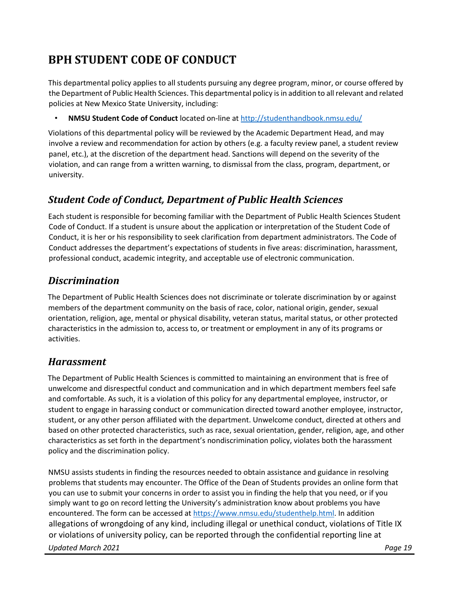## <span id="page-18-0"></span>**BPH STUDENT CODE OF CONDUCT**

This departmental policy applies to all students pursuing any degree program, minor, or course offered by the Department of Public Health Sciences. This departmental policy is in addition to all relevant and related policies at New Mexico State University, including:

• **NMSU Student Code of Conduct** located on-line at<http://studenthandbook.nmsu.edu/>

Violations of this departmental policy will be reviewed by the Academic Department Head, and may involve a review and recommendation for action by others (e.g. a faculty review panel, a student review panel, etc.), at the discretion of the department head. Sanctions will depend on the severity of the violation, and can range from a written warning, to dismissal from the class, program, department, or university.

#### *Student Code of Conduct, Department of Public Health Sciences*

Each student is responsible for becoming familiar with the Department of Public Health Sciences Student Code of Conduct. If a student is unsure about the application or interpretation of the Student Code of Conduct, it is her or his responsibility to seek clarification from department administrators. The Code of Conduct addresses the department's expectations of students in five areas: discrimination, harassment, professional conduct, academic integrity, and acceptable use of electronic communication.

#### *Discrimination*

The Department of Public Health Sciences does not discriminate or tolerate discrimination by or against members of the department community on the basis of race, color, national origin, gender, sexual orientation, religion, age, mental or physical disability, veteran status, marital status, or other protected characteristics in the admission to, access to, or treatment or employment in any of its programs or activities.

#### *Harassment*

The Department of Public Health Sciences is committed to maintaining an environment that is free of unwelcome and disrespectful conduct and communication and in which department members feel safe and comfortable. As such, it is a violation of this policy for any departmental employee, instructor, or student to engage in harassing conduct or communication directed toward another employee, instructor, student, or any other person affiliated with the department. Unwelcome conduct, directed at others and based on other protected characteristics, such as race, sexual orientation, gender, religion, age, and other characteristics as set forth in the department's nondiscrimination policy, violates both the harassment policy and the discrimination policy.

NMSU assists students in finding the resources needed to obtain assistance and guidance in resolving problems that students may encounter. The Office of the Dean of Students provides an online form that you can use to submit your concerns in order to assist you in finding the help that you need, or if you simply want to go on record letting the University's administration know about problems you have encountered. The form can be accessed a[t https://www.nmsu.edu/studenthelp.html.](https://www.nmsu.edu/studenthelp.html) In addition allegations of wrongdoing of any kind, including illegal or unethical conduct, violations of Title IX or violations of university policy, can be reported through the confidential reporting line at

*Updated March 2021 Page 19*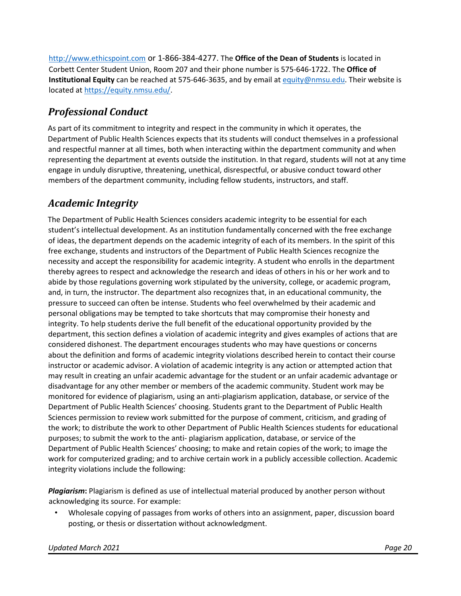[http://www.ethicspoint.com](http://www.ethicspoint.com/) or 1-866-384-4277. The **Office of the Dean of Students** is located in Corbett Center Student Union, Room 207 and their phone number is 575-646-1722. The **Office of Institutional Equity** can be reached at 575-646-3635, and by email a[t equity@nmsu.edu.](mailto:equity@nmsu.edu) Their website is located at [https://equity.nmsu.edu/.](https://equity.nmsu.edu/)

### *Professional Conduct*

As part of its commitment to integrity and respect in the community in which it operates, the Department of Public Health Sciences expects that its students will conduct themselves in a professional and respectful manner at all times, both when interacting within the department community and when representing the department at events outside the institution. In that regard, students will not at any time engage in unduly disruptive, threatening, unethical, disrespectful, or abusive conduct toward other members of the department community, including fellow students, instructors, and staff.

### *Academic Integrity*

The Department of Public Health Sciences considers academic integrity to be essential for each student's intellectual development. As an institution fundamentally concerned with the free exchange of ideas, the department depends on the academic integrity of each of its members. In the spirit of this free exchange, students and instructors of the Department of Public Health Sciences recognize the necessity and accept the responsibility for academic integrity. A student who enrolls in the department thereby agrees to respect and acknowledge the research and ideas of others in his or her work and to abide by those regulations governing work stipulated by the university, college, or academic program, and, in turn, the instructor. The department also recognizes that, in an educational community, the pressure to succeed can often be intense. Students who feel overwhelmed by their academic and personal obligations may be tempted to take shortcuts that may compromise their honesty and integrity. To help students derive the full benefit of the educational opportunity provided by the department, this section defines a violation of academic integrity and gives examples of actions that are considered dishonest. The department encourages students who may have questions or concerns about the definition and forms of academic integrity violations described herein to contact their course instructor or academic advisor. A violation of academic integrity is any action or attempted action that may result in creating an unfair academic advantage for the student or an unfair academic advantage or disadvantage for any other member or members of the academic community. Student work may be monitored for evidence of plagiarism, using an anti-plagiarism application, database, or service of the Department of Public Health Sciences' choosing. Students grant to the Department of Public Health Sciences permission to review work submitted for the purpose of comment, criticism, and grading of the work; to distribute the work to other Department of Public Health Sciences students for educational purposes; to submit the work to the anti- plagiarism application, database, or service of the Department of Public Health Sciences' choosing; to make and retain copies of the work; to image the work for computerized grading; and to archive certain work in a publicly accessible collection. Academic integrity violations include the following:

*Plagiarism***:** Plagiarism is defined as use of intellectual material produced by another person without acknowledging its source. For example:

• Wholesale copying of passages from works of others into an assignment, paper, discussion board posting, or thesis or dissertation without acknowledgment.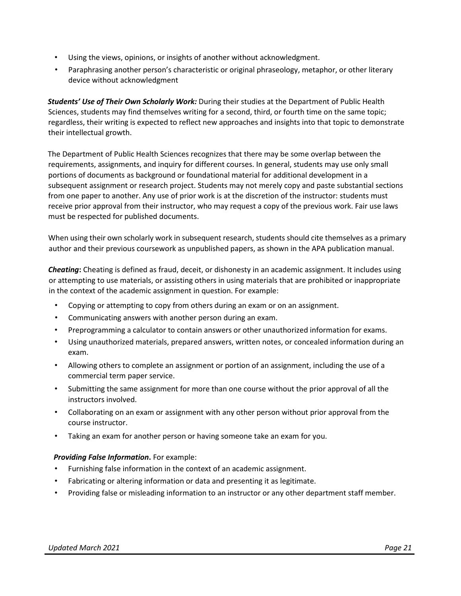- Using the views, opinions, or insights of another without acknowledgment.
- Paraphrasing another person's characteristic or original phraseology, metaphor, or other literary device without acknowledgment

*Students' Use of Their Own Scholarly Work:* During their studies at the Department of Public Health Sciences, students may find themselves writing for a second, third, or fourth time on the same topic; regardless, their writing is expected to reflect new approaches and insights into that topic to demonstrate their intellectual growth.

The Department of Public Health Sciences recognizes that there may be some overlap between the requirements, assignments, and inquiry for different courses. In general, students may use only small portions of documents as background or foundational material for additional development in a subsequent assignment or research project. Students may not merely copy and paste substantial sections from one paper to another. Any use of prior work is at the discretion of the instructor: students must receive prior approval from their instructor, who may request a copy of the previous work. Fair use laws must be respected for published documents.

When using their own scholarly work in subsequent research, students should cite themselves as a primary author and their previous coursework as unpublished papers, as shown in the APA publication manual.

*Cheating***:** Cheating is defined as fraud, deceit, or dishonesty in an academic assignment. It includes using or attempting to use materials, or assisting others in using materials that are prohibited or inappropriate in the context of the academic assignment in question. For example:

- Copying or attempting to copy from others during an exam or on an assignment.
- Communicating answers with another person during an exam.
- Preprogramming a calculator to contain answers or other unauthorized information for exams.
- Using unauthorized materials, prepared answers, written notes, or concealed information during an exam.
- Allowing others to complete an assignment or portion of an assignment, including the use of a commercial term paper service.
- Submitting the same assignment for more than one course without the prior approval of all the instructors involved.
- Collaborating on an exam or assignment with any other person without prior approval from the course instructor.
- Taking an exam for another person or having someone take an exam for you.

#### *Providing False Information***.** For example:

- Furnishing false information in the context of an academic assignment.
- Fabricating or altering information or data and presenting it as legitimate.
- Providing false or misleading information to an instructor or any other department staff member.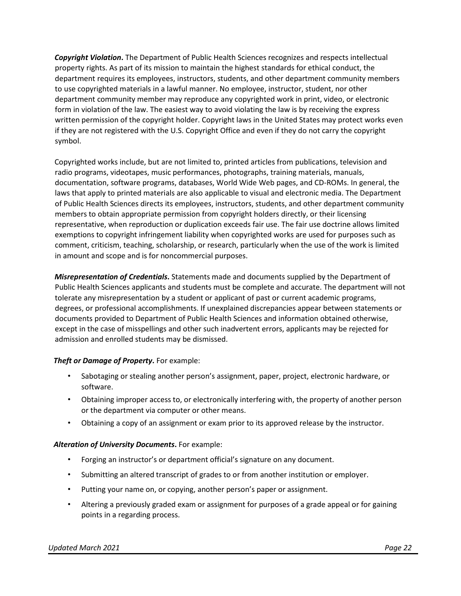*Copyright Violation***.** The Department of Public Health Sciences recognizes and respects intellectual property rights. As part of its mission to maintain the highest standards for ethical conduct, the department requires its employees, instructors, students, and other department community members to use copyrighted materials in a lawful manner. No employee, instructor, student, nor other department community member may reproduce any copyrighted work in print, video, or electronic form in violation of the law. The easiest way to avoid violating the law is by receiving the express written permission of the copyright holder. Copyright laws in the United States may protect works even if they are not registered with the U.S. Copyright Office and even if they do not carry the copyright symbol.

Copyrighted works include, but are not limited to, printed articles from publications, television and radio programs, videotapes, music performances, photographs, training materials, manuals, documentation, software programs, databases, World Wide Web pages, and CD-ROMs. In general, the laws that apply to printed materials are also applicable to visual and electronic media. The Department of Public Health Sciences directs its employees, instructors, students, and other department community members to obtain appropriate permission from copyright holders directly, or their licensing representative, when reproduction or duplication exceeds fair use. The fair use doctrine allows limited exemptions to copyright infringement liability when copyrighted works are used for purposes such as comment, criticism, teaching, scholarship, or research, particularly when the use of the work is limited in amount and scope and is for noncommercial purposes.

*Misrepresentation of Credentials***.** Statements made and documents supplied by the Department of Public Health Sciences applicants and students must be complete and accurate. The department will not tolerate any misrepresentation by a student or applicant of past or current academic programs, degrees, or professional accomplishments. If unexplained discrepancies appear between statements or documents provided to Department of Public Health Sciences and information obtained otherwise, except in the case of misspellings and other such inadvertent errors, applicants may be rejected for admission and enrolled students may be dismissed.

#### *Theft or Damage of Property*. For example:

- Sabotaging or stealing another person's assignment, paper, project, electronic hardware, or software.
- Obtaining improper access to, or electronically interfering with, the property of another person or the department via computer or other means.
- Obtaining a copy of an assignment or exam prior to its approved release by the instructor.

#### *Alteration of University Documents***.** For example:

- Forging an instructor's or department official's signature on any document.
- Submitting an altered transcript of grades to or from another institution or employer.
- Putting your name on, or copying, another person's paper or assignment.
- Altering a previously graded exam or assignment for purposes of a grade appeal or for gaining points in a regarding process.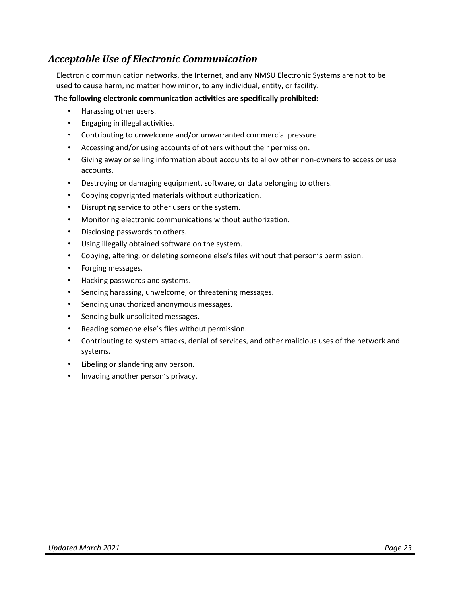#### *Acceptable Use of Electronic Communication*

Electronic communication networks, the Internet, and any NMSU Electronic Systems are not to be used to cause harm, no matter how minor, to any individual, entity, or facility.

#### **The following electronic communication activities are specifically prohibited:**

- Harassing other users.
- Engaging in illegal activities.
- Contributing to unwelcome and/or unwarranted commercial pressure.
- Accessing and/or using accounts of others without their permission.
- Giving away or selling information about accounts to allow other non-owners to access or use accounts.
- Destroying or damaging equipment, software, or data belonging to others.
- Copying copyrighted materials without authorization.
- Disrupting service to other users or the system.
- Monitoring electronic communications without authorization.
- Disclosing passwords to others.
- Using illegally obtained software on the system.
- Copying, altering, or deleting someone else's files without that person's permission.
- Forging messages.
- Hacking passwords and systems.
- Sending harassing, unwelcome, or threatening messages.
- Sending unauthorized anonymous messages.
- Sending bulk unsolicited messages.
- Reading someone else's files without permission.
- Contributing to system attacks, denial of services, and other malicious uses of the network and systems.
- Libeling or slandering any person.
- Invading another person's privacy.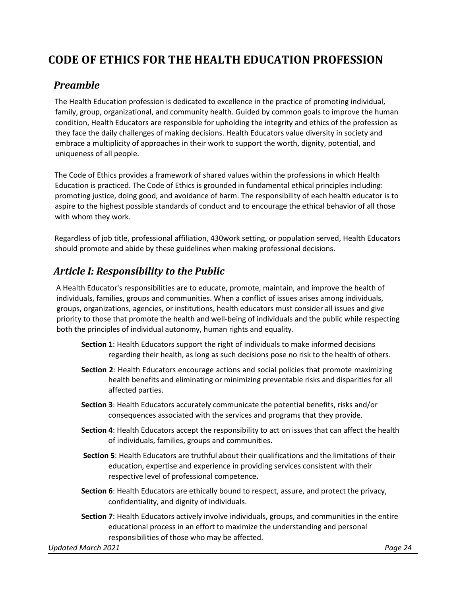## <span id="page-23-0"></span>**CODE OF ETHICS FOR THE HEALTH EDUCATION PROFESSION**

#### *Preamble*

The Health Education profession is dedicated to excellence in the practice of promoting individual, family, group, organizational, and community health. Guided by common goals to improve the human condition, Health Educators are responsible for upholding the integrity and ethics of the profession as they face the daily challenges of making decisions. Health Educators value diversity in society and embrace a multiplicity of approaches in their work to support the worth, dignity, potential, and uniqueness of all people.

The Code of Ethics provides a framework of shared values within the professions in which Health Education is practiced. The Code of Ethics is grounded in fundamental ethical principles including: promoting justice, doing good, and avoidance of harm. The responsibility of each health educator is to aspire to the highest possible standards of conduct and to encourage the ethical behavior of all those with whom they work.

Regardless of job title, professional affiliation, 430work setting, or population served, Health Educators should promote and abide by these guidelines when making professional decisions.

#### *Article I: Responsibility to the Public*

A Health Educator's responsibilities are to educate, promote, maintain, and improve the health of individuals, families, groups and communities. When a conflict of issues arises among individuals, groups, organizations, agencies, or institutions, health educators must consider all issues and give priority to those that promote the health and well-being of individuals and the public while respecting both the principles of individual autonomy, human rights and equality.

- **Section 1**: Health Educators support the right of individuals to make informed decisions regarding their health, as long as such decisions pose no risk to the health of others.
- **Section 2**: Health Educators encourage actions and social policies that promote maximizing health benefits and eliminating or minimizing preventable risks and disparities for all affected parties.
- **Section 3**: Health Educators accurately communicate the potential benefits, risks and/or consequences associated with the services and programs that they provide.
- **Section 4**: Health Educators accept the responsibility to act on issues that can affect the health of individuals, families, groups and communities.
- **Section 5**: Health Educators are truthful about their qualifications and the limitations of their education, expertise and experience in providing services consistent with their respective level of professional competence**.**
- **Section 6**: Health Educators are ethically bound to respect, assure, and protect the privacy, confidentiality, and dignity of individuals.
- **Section 7**: Health Educators actively involve individuals, groups, and communities in the entire educational process in an effort to maximize the understanding and personal responsibilities of those who may be affected.

*Updated March 2021 Page 24*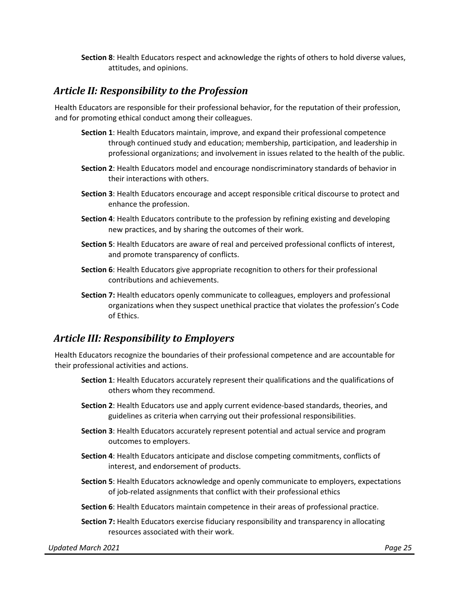**Section 8**: Health Educators respect and acknowledge the rights of others to hold diverse values, attitudes, and opinions.

#### *Article II: Responsibility to the Profession*

Health Educators are responsible for their professional behavior, for the reputation of their profession, and for promoting ethical conduct among their colleagues.

- **Section 1**: Health Educators maintain, improve, and expand their professional competence through continued study and education; membership, participation, and leadership in professional organizations; and involvement in issues related to the health of the public.
- **Section 2**: Health Educators model and encourage nondiscriminatory standards of behavior in their interactions with others.
- **Section 3**: Health Educators encourage and accept responsible critical discourse to protect and enhance the profession.
- **Section 4**: Health Educators contribute to the profession by refining existing and developing new practices, and by sharing the outcomes of their work.
- **Section 5**: Health Educators are aware of real and perceived professional conflicts of interest, and promote transparency of conflicts.
- **Section 6**: Health Educators give appropriate recognition to others for their professional contributions and achievements.
- **Section 7:** Health educators openly communicate to colleagues, employers and professional organizations when they suspect unethical practice that violates the profession's Code of Ethics.

#### *Article III: Responsibility to Employers*

Health Educators recognize the boundaries of their professional competence and are accountable for their professional activities and actions.

- **Section 1**: Health Educators accurately represent their qualifications and the qualifications of others whom they recommend.
- **Section 2**: Health Educators use and apply current evidence-based standards, theories, and guidelines as criteria when carrying out their professional responsibilities.
- **Section 3**: Health Educators accurately represent potential and actual service and program outcomes to employers.
- **Section 4**: Health Educators anticipate and disclose competing commitments, conflicts of interest, and endorsement of products.
- **Section 5**: Health Educators acknowledge and openly communicate to employers, expectations of job-related assignments that conflict with their professional ethics
- **Section 6**: Health Educators maintain competence in their areas of professional practice.
- **Section 7:** Health Educators exercise fiduciary responsibility and transparency in allocating resources associated with their work.

*Updated March 2021 Page 25*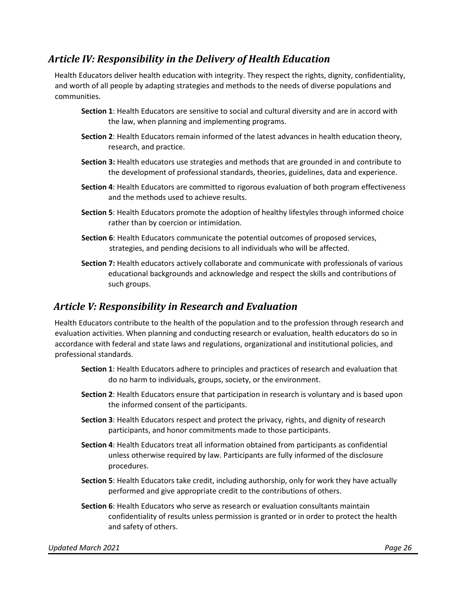#### *Article IV: Responsibility in the Delivery of Health Education*

Health Educators deliver health education with integrity. They respect the rights, dignity, confidentiality, and worth of all people by adapting strategies and methods to the needs of diverse populations and communities.

- **Section 1**: Health Educators are sensitive to social and cultural diversity and are in accord with the law, when planning and implementing programs.
- **Section 2**: Health Educators remain informed of the latest advances in health education theory, research, and practice.
- **Section 3:** Health educators use strategies and methods that are grounded in and contribute to the development of professional standards, theories, guidelines, data and experience.
- **Section 4**: Health Educators are committed to rigorous evaluation of both program effectiveness and the methods used to achieve results.
- **Section 5**: Health Educators promote the adoption of healthy lifestyles through informed choice rather than by coercion or intimidation.
- **Section 6**: Health Educators communicate the potential outcomes of proposed services, strategies, and pending decisions to all individuals who will be affected.
- **Section 7:** Health educators actively collaborate and communicate with professionals of various educational backgrounds and acknowledge and respect the skills and contributions of such groups.

### *Article V: Responsibility in Research and Evaluation*

Health Educators contribute to the health of the population and to the profession through research and evaluation activities. When planning and conducting research or evaluation, health educators do so in accordance with federal and state laws and regulations, organizational and institutional policies, and professional standards.

- **Section 1**: Health Educators adhere to principles and practices of research and evaluation that do no harm to individuals, groups, society, or the environment.
- **Section 2**: Health Educators ensure that participation in research is voluntary and is based upon the informed consent of the participants.
- **Section 3**: Health Educators respect and protect the privacy, rights, and dignity of research participants, and honor commitments made to those participants.
- **Section 4**: Health Educators treat all information obtained from participants as confidential unless otherwise required by law. Participants are fully informed of the disclosure procedures.
- **Section 5**: Health Educators take credit, including authorship, only for work they have actually performed and give appropriate credit to the contributions of others.
- **Section 6**: Health Educators who serve as research or evaluation consultants maintain confidentiality of results unless permission is granted or in order to protect the health and safety of others.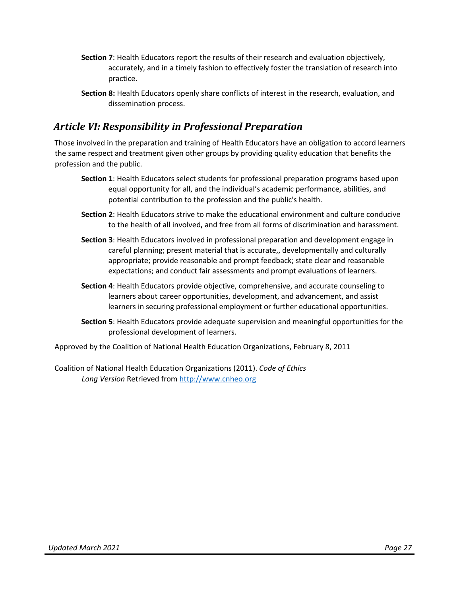- **Section 7**: Health Educators report the results of their research and evaluation objectively, accurately, and in a timely fashion to effectively foster the translation of research into practice.
- **Section 8:** Health Educators openly share conflicts of interest in the research, evaluation, and dissemination process.

#### *Article VI: Responsibility in Professional Preparation*

Those involved in the preparation and training of Health Educators have an obligation to accord learners the same respect and treatment given other groups by providing quality education that benefits the profession and the public.

- **Section 1**: Health Educators select students for professional preparation programs based upon equal opportunity for all, and the individual's academic performance, abilities, and potential contribution to the profession and the public's health.
- **Section 2**: Health Educators strive to make the educational environment and culture conducive to the health of all involved**,** and free from all forms of discrimination and harassment.
- **Section 3**: Health Educators involved in professional preparation and development engage in careful planning; present material that is accurate,, developmentally and culturally appropriate; provide reasonable and prompt feedback; state clear and reasonable expectations; and conduct fair assessments and prompt evaluations of learners.
- **Section 4**: Health Educators provide objective, comprehensive, and accurate counseling to learners about career opportunities, development, and advancement, and assist learners in securing professional employment or further educational opportunities.
- **Section 5**: Health Educators provide adequate supervision and meaningful opportunities for the professional development of learners.

Approved by the Coalition of National Health Education Organizations, February 8, 2011

Coalition of National Health Education Organizations (2011). *Code of Ethics Long Version* Retrieved from [http://www.cnheo.org](http://www.cnheo.org/)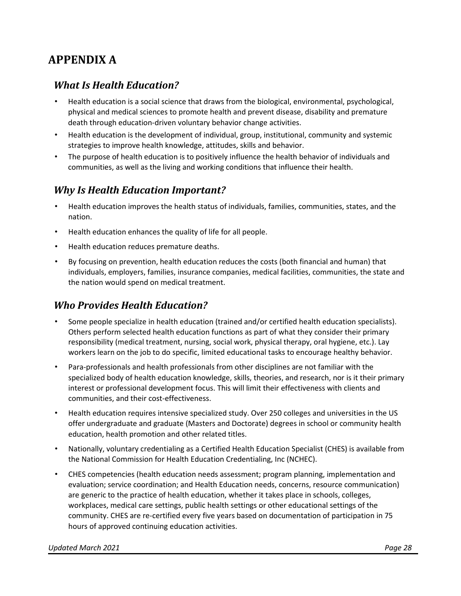## <span id="page-27-0"></span>**APPENDIX A**

#### *What Is Health Education?*

- Health education is a social science that draws from the biological, environmental, psychological, physical and medical sciences to promote health and prevent disease, disability and premature death through education-driven voluntary behavior change activities.
- Health education is the development of individual, group, institutional, community and systemic strategies to improve health knowledge, attitudes, skills and behavior.
- The purpose of health education is to positively influence the health behavior of individuals and communities, as well as the living and working conditions that influence their health.

#### *Why Is Health Education Important?*

- Health education improves the health status of individuals, families, communities, states, and the nation.
- Health education enhances the quality of life for all people.
- Health education reduces premature deaths.
- By focusing on prevention, health education reduces the costs (both financial and human) that individuals, employers, families, insurance companies, medical facilities, communities, the state and the nation would spend on medical treatment.

### *Who Provides Health Education?*

- Some people specialize in health education (trained and/or certified health education specialists). Others perform selected health education functions as part of what they consider their primary responsibility (medical treatment, nursing, social work, physical therapy, oral hygiene, etc.). Lay workers learn on the job to do specific, limited educational tasks to encourage healthy behavior.
- Para-professionals and health professionals from other disciplines are not familiar with the specialized body of health education knowledge, skills, theories, and research, nor is it their primary interest or professional development focus. This will limit their effectiveness with clients and communities, and their cost-effectiveness.
- Health education requires intensive specialized study. Over 250 colleges and universities in the US offer undergraduate and graduate (Masters and Doctorate) degrees in school or community health education, health promotion and other related titles.
- Nationally, voluntary credentialing as a Certified Health Education Specialist (CHES) is available from the National Commission for Health Education Credentialing, Inc (NCHEC).
- CHES competencies (health education needs assessment; program planning, implementation and evaluation; service coordination; and Health Education needs, concerns, resource communication) are generic to the practice of health education, whether it takes place in schools, colleges, workplaces, medical care settings, public health settings or other educational settings of the community. CHES are re-certified every five years based on documentation of participation in 75 hours of approved continuing education activities.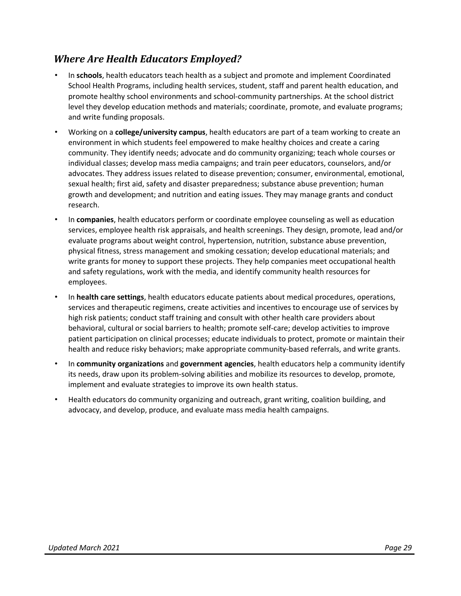### *Where Are Health Educators Employed?*

- In **schools**, health educators teach health as a subject and promote and implement Coordinated School Health Programs, including health services, student, staff and parent health education, and promote healthy school environments and school-community partnerships. At the school district level they develop education methods and materials; coordinate, promote, and evaluate programs; and write funding proposals.
- Working on a **college/university campus**, health educators are part of a team working to create an environment in which students feel empowered to make healthy choices and create a caring community. They identify needs; advocate and do community organizing; teach whole courses or individual classes; develop mass media campaigns; and train peer educators, counselors, and/or advocates. They address issues related to disease prevention; consumer, environmental, emotional, sexual health; first aid, safety and disaster preparedness; substance abuse prevention; human growth and development; and nutrition and eating issues. They may manage grants and conduct research.
- In **companies**, health educators perform or coordinate employee counseling as well as education services, employee health risk appraisals, and health screenings. They design, promote, lead and/or evaluate programs about weight control, hypertension, nutrition, substance abuse prevention, physical fitness, stress management and smoking cessation; develop educational materials; and write grants for money to support these projects. They help companies meet occupational health and safety regulations, work with the media, and identify community health resources for employees.
- In **health care settings**, health educators educate patients about medical procedures, operations, services and therapeutic regimens, create activities and incentives to encourage use of services by high risk patients; conduct staff training and consult with other health care providers about behavioral, cultural or social barriers to health; promote self-care; develop activities to improve patient participation on clinical processes; educate individuals to protect, promote or maintain their health and reduce risky behaviors; make appropriate community-based referrals, and write grants.
- In **community organizations** and **government agencies**, health educators help a community identify its needs, draw upon its problem-solving abilities and mobilize its resources to develop, promote, implement and evaluate strategies to improve its own health status.
- Health educators do community organizing and outreach, grant writing, coalition building, and advocacy, and develop, produce, and evaluate mass media health campaigns.